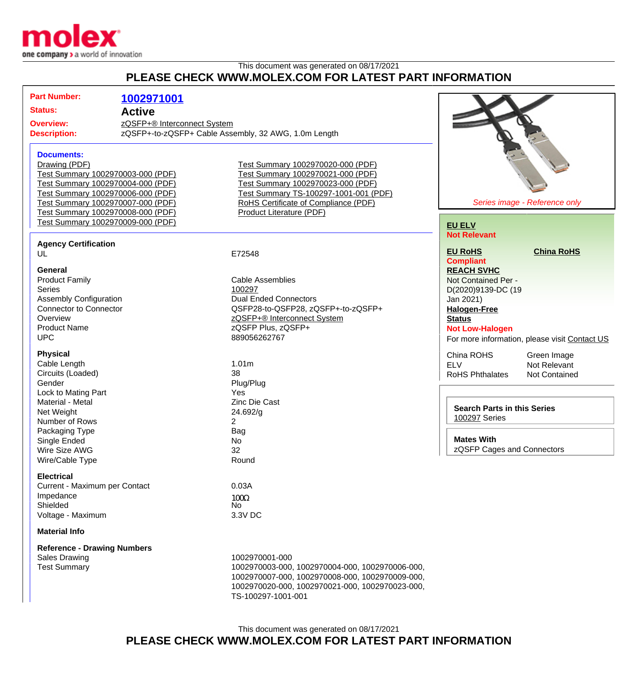

## This document was generated on 08/17/2021 **PLEASE CHECK WWW.MOLEX.COM FOR LATEST PART INFORMATION**

| <u>UILUI MIIIULLAJUUI PILAILUI LAILII</u>                              |                                    |                                                      |                                    |                                               |
|------------------------------------------------------------------------|------------------------------------|------------------------------------------------------|------------------------------------|-----------------------------------------------|
|                                                                        | <b>Part Number:</b>                | 1002971001                                           |                                    |                                               |
|                                                                        | <b>Status:</b><br><b>Active</b>    |                                                      |                                    |                                               |
|                                                                        |                                    |                                                      |                                    |                                               |
|                                                                        | <b>Overview:</b>                   | zQSFP+® Interconnect System                          |                                    |                                               |
| <b>Description:</b>                                                    |                                    | zQSFP+-to-zQSFP+ Cable Assembly, 32 AWG, 1.0m Length |                                    |                                               |
|                                                                        |                                    |                                                      |                                    |                                               |
|                                                                        | <b>Documents:</b>                  |                                                      |                                    |                                               |
|                                                                        | Drawing (PDF)                      | Test Summary 1002970020-000 (PDF)                    |                                    |                                               |
| Test Summary 1002970003-000 (PDF)                                      |                                    | Test Summary 1002970021-000 (PDF)                    |                                    |                                               |
| Test Summary 1002970004-000 (PDF)                                      |                                    | Test Summary 1002970023-000 (PDF)                    |                                    |                                               |
| Test Summary 1002970006-000 (PDF)                                      |                                    | Test Summary TS-100297-1001-001 (PDF)                |                                    |                                               |
| Test Summary 1002970007-000 (PDF)                                      |                                    | RoHS Certificate of Compliance (PDF)                 | Series image - Reference only      |                                               |
| Test Summary 1002970008-000 (PDF)<br>Test Summary 1002970009-000 (PDF) |                                    | Product Literature (PDF)                             |                                    |                                               |
|                                                                        |                                    |                                                      | <b>EU ELV</b>                      |                                               |
|                                                                        |                                    |                                                      | <b>Not Relevant</b>                |                                               |
|                                                                        | <b>Agency Certification</b>        |                                                      | <b>EU RoHS</b>                     | <b>China RoHS</b>                             |
|                                                                        | UL                                 | E72548                                               | <b>Compliant</b>                   |                                               |
|                                                                        | <b>General</b>                     |                                                      | <b>REACH SVHC</b>                  |                                               |
|                                                                        | <b>Product Family</b>              | <b>Cable Assemblies</b>                              | Not Contained Per -                |                                               |
|                                                                        | <b>Series</b>                      | 100297                                               | D(2020)9139-DC (19                 |                                               |
|                                                                        | <b>Assembly Configuration</b>      | <b>Dual Ended Connectors</b>                         | Jan 2021)                          |                                               |
|                                                                        | <b>Connector to Connector</b>      | QSFP28-to-QSFP28, zQSFP+-to-zQSFP+                   | <b>Halogen-Free</b>                |                                               |
|                                                                        | Overview                           | zQSFP+® Interconnect System                          | <b>Status</b>                      |                                               |
|                                                                        | <b>Product Name</b>                | zQSFP Plus, zQSFP+                                   | <b>Not Low-Halogen</b>             |                                               |
|                                                                        | <b>UPC</b>                         | 889056262767                                         |                                    | For more information, please visit Contact US |
|                                                                        |                                    |                                                      |                                    |                                               |
|                                                                        | <b>Physical</b>                    |                                                      | China ROHS                         | Green Image                                   |
|                                                                        | Cable Length                       | 1.01m                                                | <b>ELV</b>                         | Not Relevant                                  |
|                                                                        | Circuits (Loaded)                  | 38                                                   | <b>RoHS Phthalates</b>             | <b>Not Contained</b>                          |
|                                                                        | Gender                             | Plug/Plug                                            |                                    |                                               |
|                                                                        | Lock to Mating Part                | <b>Yes</b>                                           |                                    |                                               |
| Material - Metal<br>Net Weight                                         |                                    | <b>Zinc Die Cast</b>                                 | <b>Search Parts in this Series</b> |                                               |
| Number of Rows                                                         |                                    | 24.692/g<br>2                                        | 100297 Series                      |                                               |
| Packaging Type                                                         |                                    | <b>Bag</b>                                           |                                    |                                               |
|                                                                        | Single Ended                       | No                                                   | <b>Mates With</b>                  |                                               |
|                                                                        | Wire Size AWG                      | 32                                                   | zQSFP Cages and Connectors         |                                               |
|                                                                        | Wire/Cable Type                    | Round                                                |                                    |                                               |
|                                                                        |                                    |                                                      |                                    |                                               |
| <b>Electrical</b>                                                      |                                    |                                                      |                                    |                                               |
|                                                                        | Current - Maximum per Contact      | 0.03A                                                |                                    |                                               |
|                                                                        | Impedance                          | $100\Omega$                                          |                                    |                                               |
|                                                                        | Shielded                           | No.                                                  |                                    |                                               |
|                                                                        | Voltage - Maximum                  | 3.3V DC                                              |                                    |                                               |
| <b>Material Info</b>                                                   |                                    |                                                      |                                    |                                               |
|                                                                        | <b>Reference - Drawing Numbers</b> |                                                      |                                    |                                               |
|                                                                        | <b>Sales Drawing</b>               | 1002970001-000                                       |                                    |                                               |
|                                                                        | <b>Test Summary</b>                | 1002970003-000, 1002970004-000, 1002970006-000,      |                                    |                                               |
|                                                                        |                                    | 1002970007-000, 1002970008-000, 1002970009-000,      |                                    |                                               |
|                                                                        |                                    | 1002970020-000, 1002970021-000, 1002970023-000,      |                                    |                                               |
|                                                                        |                                    | TS-100297-1001-001                                   |                                    |                                               |

 $\mathbb{R}^2$ 

This document was generated on 08/17/2021

**PLEASE CHECK WWW.MOLEX.COM FOR LATEST PART INFORMATION**